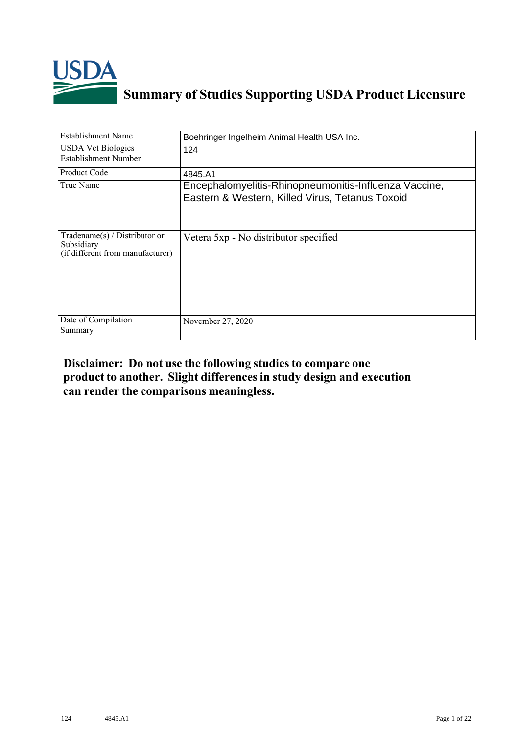

# **Summary of Studies Supporting USDA Product Licensure**

| <b>Establishment Name</b>                                                          | Boehringer Ingelheim Animal Health USA Inc.                                                              |
|------------------------------------------------------------------------------------|----------------------------------------------------------------------------------------------------------|
| <b>USDA Vet Biologics</b><br>Establishment Number                                  | 124                                                                                                      |
| Product Code                                                                       | 4845.A1                                                                                                  |
| True Name                                                                          | Encephalomyelitis-Rhinopneumonitis-Influenza Vaccine,<br>Eastern & Western, Killed Virus, Tetanus Toxoid |
| Tradename $(s)$ / Distributor or<br>Subsidiary<br>(if different from manufacturer) | Vetera 5xp - No distributor specified                                                                    |
| Date of Compilation<br>Summary                                                     | November 27, 2020                                                                                        |

## **Disclaimer: Do not use the following studiesto compare one product to another. Slight differencesin study design and execution can render the comparisons meaningless.**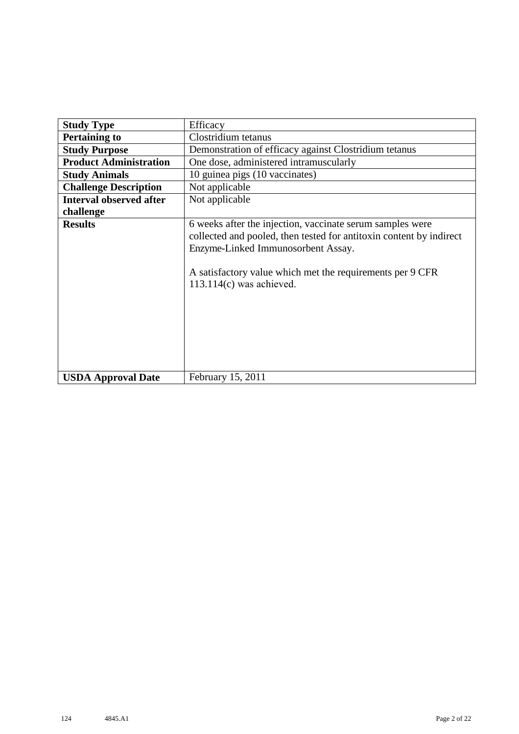| <b>Study Type</b>              | Efficacy                                                                                                                                                                                                                                                          |  |  |  |  |  |  |  |  |  |
|--------------------------------|-------------------------------------------------------------------------------------------------------------------------------------------------------------------------------------------------------------------------------------------------------------------|--|--|--|--|--|--|--|--|--|
| <b>Pertaining to</b>           | Clostridium tetanus                                                                                                                                                                                                                                               |  |  |  |  |  |  |  |  |  |
| <b>Study Purpose</b>           | Demonstration of efficacy against Clostridium tetanus                                                                                                                                                                                                             |  |  |  |  |  |  |  |  |  |
| <b>Product Administration</b>  | One dose, administered intramuscularly                                                                                                                                                                                                                            |  |  |  |  |  |  |  |  |  |
| <b>Study Animals</b>           | 10 guinea pigs (10 vaccinates)                                                                                                                                                                                                                                    |  |  |  |  |  |  |  |  |  |
| <b>Challenge Description</b>   | Not applicable                                                                                                                                                                                                                                                    |  |  |  |  |  |  |  |  |  |
| <b>Interval observed after</b> | Not applicable                                                                                                                                                                                                                                                    |  |  |  |  |  |  |  |  |  |
| challenge                      |                                                                                                                                                                                                                                                                   |  |  |  |  |  |  |  |  |  |
| <b>Results</b>                 | 6 weeks after the injection, vaccinate serum samples were<br>collected and pooled, then tested for antitoxin content by indirect<br>Enzyme-Linked Immunosorbent Assay.<br>A satisfactory value which met the requirements per 9 CFR<br>$113.114(c)$ was achieved. |  |  |  |  |  |  |  |  |  |
| <b>USDA Approval Date</b>      | February 15, 2011                                                                                                                                                                                                                                                 |  |  |  |  |  |  |  |  |  |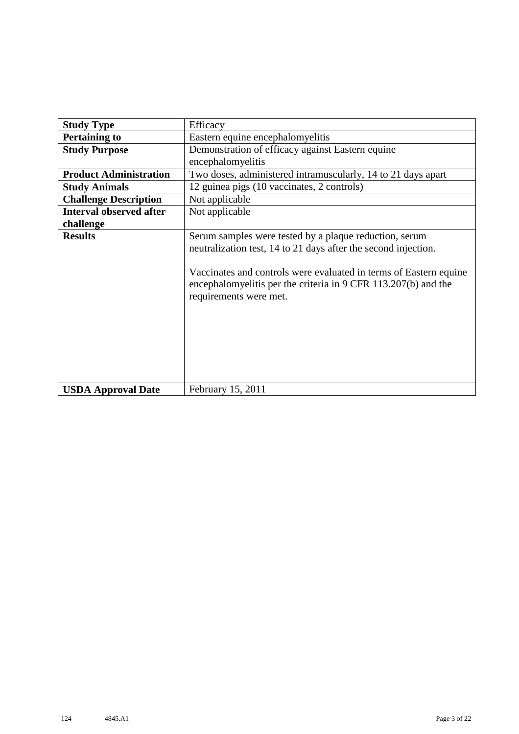| <b>Study Type</b>              | Efficacy                                                                                                                                                                                                                                                                                  |
|--------------------------------|-------------------------------------------------------------------------------------------------------------------------------------------------------------------------------------------------------------------------------------------------------------------------------------------|
| <b>Pertaining to</b>           | Eastern equine encephalomyelitis                                                                                                                                                                                                                                                          |
| <b>Study Purpose</b>           | Demonstration of efficacy against Eastern equine                                                                                                                                                                                                                                          |
|                                | encephalomyelitis                                                                                                                                                                                                                                                                         |
| <b>Product Administration</b>  | Two doses, administered intramuscularly, 14 to 21 days apart                                                                                                                                                                                                                              |
| <b>Study Animals</b>           | 12 guinea pigs (10 vaccinates, 2 controls)                                                                                                                                                                                                                                                |
| <b>Challenge Description</b>   | Not applicable                                                                                                                                                                                                                                                                            |
| <b>Interval observed after</b> | Not applicable                                                                                                                                                                                                                                                                            |
| challenge                      |                                                                                                                                                                                                                                                                                           |
| <b>Results</b>                 | Serum samples were tested by a plaque reduction, serum<br>neutralization test, 14 to 21 days after the second injection.<br>Vaccinates and controls were evaluated in terms of Eastern equine<br>encephalomyelitis per the criteria in 9 CFR 113.207(b) and the<br>requirements were met. |
| <b>USDA Approval Date</b>      | February 15, 2011                                                                                                                                                                                                                                                                         |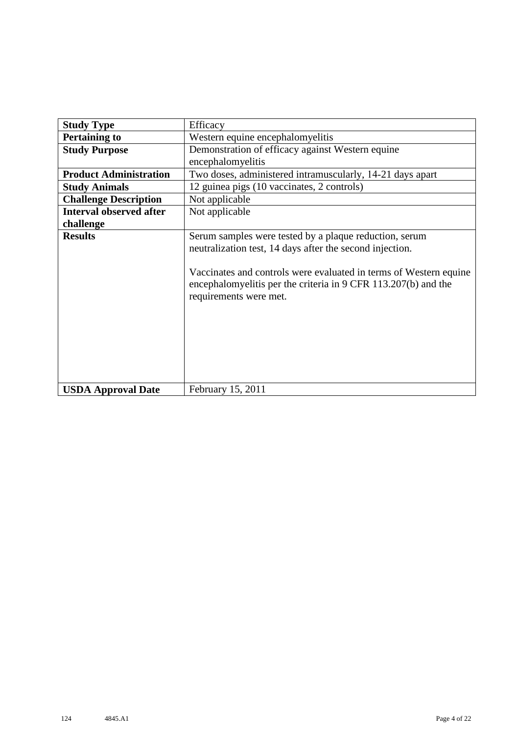| <b>Study Type</b>              | Efficacy                                                                                                                                                                                                                                                                            |
|--------------------------------|-------------------------------------------------------------------------------------------------------------------------------------------------------------------------------------------------------------------------------------------------------------------------------------|
| <b>Pertaining to</b>           | Western equine encephalomyelitis                                                                                                                                                                                                                                                    |
| <b>Study Purpose</b>           | Demonstration of efficacy against Western equine                                                                                                                                                                                                                                    |
|                                | encephalomyelitis                                                                                                                                                                                                                                                                   |
| <b>Product Administration</b>  | Two doses, administered intramuscularly, 14-21 days apart                                                                                                                                                                                                                           |
| <b>Study Animals</b>           | 12 guinea pigs (10 vaccinates, 2 controls)                                                                                                                                                                                                                                          |
| <b>Challenge Description</b>   | Not applicable                                                                                                                                                                                                                                                                      |
| <b>Interval observed after</b> | Not applicable                                                                                                                                                                                                                                                                      |
| challenge                      |                                                                                                                                                                                                                                                                                     |
| <b>Results</b>                 | Serum samples were tested by a plaque reduction, serum<br>neutralization test, 14 days after the second injection.<br>Vaccinates and controls were evaluated in terms of Western equine<br>encephalomyelitis per the criteria in 9 CFR 113.207(b) and the<br>requirements were met. |
| <b>USDA Approval Date</b>      | February 15, 2011                                                                                                                                                                                                                                                                   |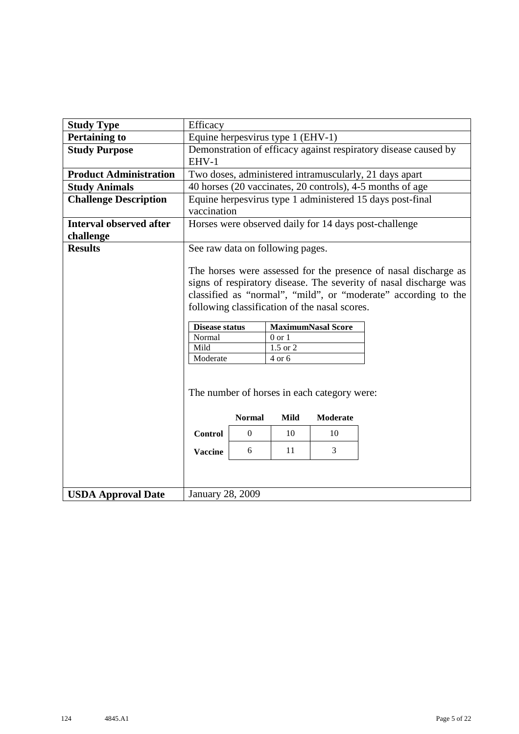| <b>Study Type</b>                           | Efficacy                                                                 |                                                                                                                                                                                                                                                                                                                                                                         |      |                                             |  |  |  |  |  |  |  |  |  |
|---------------------------------------------|--------------------------------------------------------------------------|-------------------------------------------------------------------------------------------------------------------------------------------------------------------------------------------------------------------------------------------------------------------------------------------------------------------------------------------------------------------------|------|---------------------------------------------|--|--|--|--|--|--|--|--|--|
| <b>Pertaining to</b>                        |                                                                          | Equine herpesvirus type 1 (EHV-1)                                                                                                                                                                                                                                                                                                                                       |      |                                             |  |  |  |  |  |  |  |  |  |
| <b>Study Purpose</b>                        | EHV-1                                                                    | Demonstration of efficacy against respiratory disease caused by                                                                                                                                                                                                                                                                                                         |      |                                             |  |  |  |  |  |  |  |  |  |
| <b>Product Administration</b>               |                                                                          | Two doses, administered intramuscularly, 21 days apart                                                                                                                                                                                                                                                                                                                  |      |                                             |  |  |  |  |  |  |  |  |  |
| <b>Study Animals</b>                        |                                                                          | 40 horses (20 vaccinates, 20 controls), 4-5 months of age                                                                                                                                                                                                                                                                                                               |      |                                             |  |  |  |  |  |  |  |  |  |
| <b>Challenge Description</b>                | Equine herpesvirus type 1 administered 15 days post-final<br>vaccination |                                                                                                                                                                                                                                                                                                                                                                         |      |                                             |  |  |  |  |  |  |  |  |  |
| <b>Interval observed after</b><br>challenge |                                                                          | Horses were observed daily for 14 days post-challenge                                                                                                                                                                                                                                                                                                                   |      |                                             |  |  |  |  |  |  |  |  |  |
| <b>Results</b>                              |                                                                          | See raw data on following pages.                                                                                                                                                                                                                                                                                                                                        |      |                                             |  |  |  |  |  |  |  |  |  |
|                                             | Normal<br>Mild<br>Moderate                                               | The horses were assessed for the presence of nasal discharge as<br>signs of respiratory disease. The severity of nasal discharge was<br>classified as "normal", "mild", or "moderate" according to the<br>following classification of the nasal scores.<br><b>MaximumNasal Score</b><br><b>Disease status</b><br>$0$ or $1$<br>$\overline{1.5 \text{ or } 2}$<br>4 or 6 |      |                                             |  |  |  |  |  |  |  |  |  |
|                                             |                                                                          |                                                                                                                                                                                                                                                                                                                                                                         |      | The number of horses in each category were: |  |  |  |  |  |  |  |  |  |
|                                             |                                                                          | <b>Normal</b>                                                                                                                                                                                                                                                                                                                                                           | Mild | <b>Moderate</b>                             |  |  |  |  |  |  |  |  |  |
|                                             | <b>Control</b>                                                           | $\overline{0}$                                                                                                                                                                                                                                                                                                                                                          | 10   | 10                                          |  |  |  |  |  |  |  |  |  |
|                                             | <b>Vaccine</b>                                                           | 3<br>11<br>6                                                                                                                                                                                                                                                                                                                                                            |      |                                             |  |  |  |  |  |  |  |  |  |
| <b>USDA Approval Date</b>                   | <b>January 28, 2009</b>                                                  |                                                                                                                                                                                                                                                                                                                                                                         |      |                                             |  |  |  |  |  |  |  |  |  |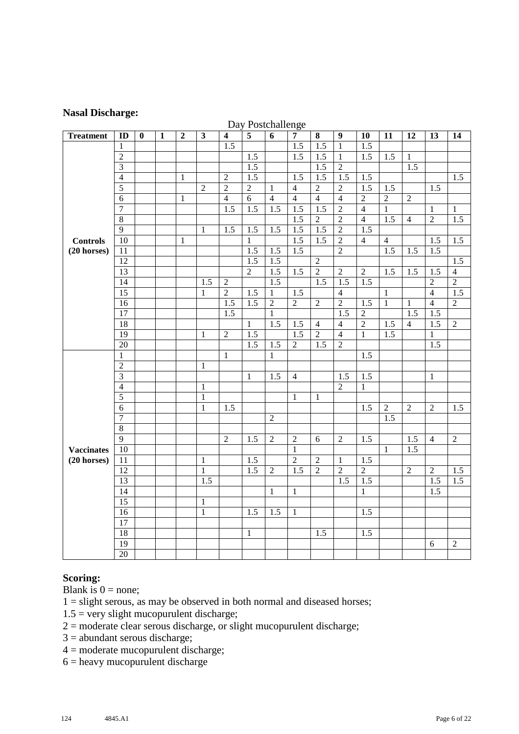#### **Nasal Discharge:**

|                   |                 |          |              |                |                |                         | Day Postchallenge |                  |                  |                  |                  |                  |                  |                  |                  |                |
|-------------------|-----------------|----------|--------------|----------------|----------------|-------------------------|-------------------|------------------|------------------|------------------|------------------|------------------|------------------|------------------|------------------|----------------|
| <b>Treatment</b>  | ID              | $\bf{0}$ | $\mathbf{1}$ | $\overline{2}$ | $\mathbf{3}$   | $\overline{\mathbf{4}}$ | $\overline{5}$    | $\overline{6}$   | $\overline{7}$   | 8                | $\boldsymbol{9}$ | 10               | 11               | 12               | 13               | 14             |
|                   | $\mathbf{1}$    |          |              |                |                | $\overline{1.5}$        |                   |                  | $\overline{1.5}$ | $\overline{1.5}$ | $\mathbf{1}$     | $\overline{1.5}$ |                  |                  |                  |                |
|                   | $\overline{2}$  |          |              |                |                |                         | 1.5               |                  | $\overline{1.5}$ | $\overline{1.5}$ | $\mathbf{1}$     | $\overline{1.5}$ | 1.5              | $\mathbf{1}$     |                  |                |
|                   | $\overline{3}$  |          |              |                |                |                         | $\overline{1.5}$  |                  |                  | $\overline{1.5}$ | $\overline{2}$   |                  |                  | 1.5              |                  |                |
|                   | $\overline{4}$  |          |              | $\mathbf{1}$   |                | $\overline{2}$          | 1.5               |                  | 1.5              | 1.5              | 1.5              | 1.5              |                  |                  |                  | 1.5            |
|                   | $\overline{5}$  |          |              |                | $\overline{2}$ | $\overline{2}$          | $\overline{2}$    | $\mathbf{1}$     | $\overline{4}$   | $\overline{2}$   | $\overline{2}$   | 1.5              | 1.5              |                  | 1.5              |                |
|                   | $\overline{6}$  |          |              | $\mathbf{1}$   |                | $\overline{4}$          | $\overline{6}$    | $\overline{4}$   | $\overline{4}$   | $\overline{4}$   | $\overline{4}$   | $\overline{2}$   | $\overline{2}$   | $\overline{2}$   |                  |                |
|                   | $\overline{7}$  |          |              |                |                | 1.5                     | 1.5               | 1.5              | 1.5              | 1.5              | $\overline{2}$   | $\overline{4}$   | $\mathbf{1}$     |                  | $\mathbf{1}$     | $\mathbf{1}$   |
|                   | $\overline{8}$  |          |              |                |                |                         |                   |                  | 1.5              | $\overline{2}$   | $\overline{2}$   | $\overline{4}$   | $\overline{1.5}$ | $\overline{4}$   | $\overline{2}$   | 1.5            |
|                   | $\overline{9}$  |          |              |                | 1              | 1.5                     | $\overline{1.5}$  | $\overline{1.5}$ | $\overline{1.5}$ | $\overline{1.5}$ | $\overline{2}$   | $\overline{1.5}$ |                  |                  |                  |                |
| <b>Controls</b>   | $\overline{10}$ |          |              | $\mathbf{1}$   |                |                         | $\mathbf{1}$      |                  | 1.5              | 1.5              | $\overline{2}$   | $\overline{4}$   | $\overline{4}$   |                  | 1.5              | 1.5            |
| $(20$ horses)     | 11              |          |              |                |                |                         | 1.5               | 1.5              | $\overline{1.5}$ |                  | $\overline{2}$   |                  | $\overline{1.5}$ | 1.5              | 1.5              |                |
|                   | 12              |          |              |                |                |                         | 1.5               | $\overline{1.5}$ |                  | $\overline{2}$   |                  |                  |                  |                  |                  | 1.5            |
|                   | $\overline{13}$ |          |              |                |                |                         | $\overline{2}$    | $\overline{1.5}$ | $\overline{1.5}$ | $\overline{2}$   | $\overline{2}$   | $\overline{2}$   | 1.5              | $\overline{1.5}$ | $\overline{1.5}$ | $\overline{4}$ |
|                   | 14              |          |              |                | 1.5            | $\mathfrak{2}$          |                   | 1.5              |                  | 1.5              | 1.5              | 1.5              |                  |                  | $\overline{c}$   | $\overline{2}$ |
|                   | $\overline{15}$ |          |              |                | $\mathbf{1}$   | $\overline{2}$          | $\overline{1.5}$  | $\mathbf{1}$     | 1.5              |                  | $\overline{4}$   |                  | $\mathbf{1}$     |                  | $\overline{4}$   | 1.5            |
|                   | $\overline{16}$ |          |              |                |                | 1.5                     | 1.5               | $\overline{2}$   | $\overline{2}$   | $\overline{2}$   | $\overline{2}$   | 1.5              | $\overline{1}$   | 1                | $\overline{4}$   | $\overline{2}$ |
|                   | $\overline{17}$ |          |              |                |                | $\overline{1.5}$        |                   | $\mathbf{1}$     |                  |                  | $\overline{1.5}$ | $\overline{2}$   |                  | 1.5              | $\overline{1.5}$ |                |
|                   | $\overline{18}$ |          |              |                |                |                         | $\mathbf{1}$      | 1.5              | 1.5              | $\overline{4}$   | $\overline{4}$   | $\overline{2}$   | 1.5              | $\overline{4}$   | 1.5              | $\overline{2}$ |
|                   | $\overline{19}$ |          |              |                | 1              | $\sqrt{2}$              | 1.5               |                  | 1.5              | $\overline{2}$   | $\overline{4}$   | $\mathbf{1}$     | 1.5              |                  | 1                |                |
|                   | $\overline{20}$ |          |              |                |                |                         | $\overline{1.5}$  | 1.5              | $\overline{2}$   | 1.5              | $\overline{2}$   |                  |                  |                  | 1.5              |                |
|                   | $\mathbf{1}$    |          |              |                |                | $\mathbf{1}$            |                   | $\mathbf{1}$     |                  |                  |                  | 1.5              |                  |                  |                  |                |
|                   | $\overline{2}$  |          |              |                | $\mathbf{1}$   |                         |                   |                  |                  |                  |                  |                  |                  |                  |                  |                |
|                   | $\overline{3}$  |          |              |                |                |                         | $\mathbf{1}$      | 1.5              | $\overline{4}$   |                  | 1.5              | 1.5              |                  |                  | $\mathbf{1}$     |                |
|                   | $\overline{4}$  |          |              |                | 1              |                         |                   |                  |                  |                  | $\overline{2}$   | $\mathbf{1}$     |                  |                  |                  |                |
|                   | $\overline{5}$  |          |              |                | $\mathbf{1}$   |                         |                   |                  | $\mathbf{1}$     | $\mathbf{1}$     |                  |                  |                  |                  |                  |                |
|                   | $\sqrt{6}$      |          |              |                | $\mathbf{1}$   | 1.5                     |                   |                  |                  |                  |                  | $\overline{1.5}$ | $\overline{2}$   | $\mathfrak{D}$   | $\overline{2}$   | 1.5            |
|                   | $\overline{7}$  |          |              |                |                |                         |                   | $\overline{2}$   |                  |                  |                  |                  | 1.5              |                  |                  |                |
|                   | 8               |          |              |                |                |                         |                   |                  |                  |                  |                  |                  |                  |                  |                  |                |
|                   | $\overline{9}$  |          |              |                |                | $\sqrt{2}$              | 1.5               | $\sqrt{2}$       | $\sqrt{2}$       | 6                | $\sqrt{2}$       | 1.5              |                  | 1.5              | $\overline{4}$   | $\sqrt{2}$     |
| <b>Vaccinates</b> | $10\,$          |          |              |                |                |                         |                   |                  | $\mathbf{1}$     |                  |                  |                  | 1                | $\overline{1.5}$ |                  |                |
| $(20$ horses)     | 11              |          |              |                | $\mathbf{1}$   |                         | 1.5               |                  | $\overline{2}$   | $\overline{2}$   | 1                | $\overline{1.5}$ |                  |                  |                  |                |
|                   | 12              |          |              |                | $\mathbf{1}$   |                         | $\overline{1.5}$  | $\overline{2}$   | 1.5              | $\overline{2}$   | $\overline{2}$   | $\overline{2}$   |                  | $\overline{2}$   | $\overline{2}$   | 1.5            |
|                   | 13              |          |              |                | 1.5            |                         |                   |                  |                  |                  | 1.5              | 1.5              |                  |                  | 1.5              | 1.5            |
|                   | 14              |          |              |                |                |                         |                   | $\mathbf{1}$     | $\mathbf{1}$     |                  |                  | $\mathbf{1}$     |                  |                  | 1.5              |                |
|                   | $\overline{15}$ |          |              |                | $\mathbf{1}$   |                         |                   |                  |                  |                  |                  |                  |                  |                  |                  |                |
|                   | $\overline{16}$ |          |              |                | $\mathbf{1}$   |                         | 1.5               | 1.5              | 1                |                  |                  | $1.\overline{5}$ |                  |                  |                  |                |
|                   | 17              |          |              |                |                |                         |                   |                  |                  |                  |                  |                  |                  |                  |                  |                |
|                   | 18              |          |              |                |                |                         | $\mathbf{1}$      |                  |                  | 1.5              |                  | 1.5              |                  |                  |                  |                |
|                   | 19              |          |              |                |                |                         |                   |                  |                  |                  |                  |                  |                  |                  | 6                | $\sqrt{2}$     |
|                   | $\overline{20}$ |          |              |                |                |                         |                   |                  |                  |                  |                  |                  |                  |                  |                  |                |

#### Day Postchallenge

#### **Scoring:**

Blank is  $0 = none$ ;

1 = slight serous, as may be observed in both normal and diseased horses;

- $1.5$  = very slight mucopurulent discharge;
- $2 =$  moderate clear serous discharge, or slight mucopurulent discharge;
- 3 = abundant serous discharge;
- 4 = moderate mucopurulent discharge;
- = heavy mucopurulent discharge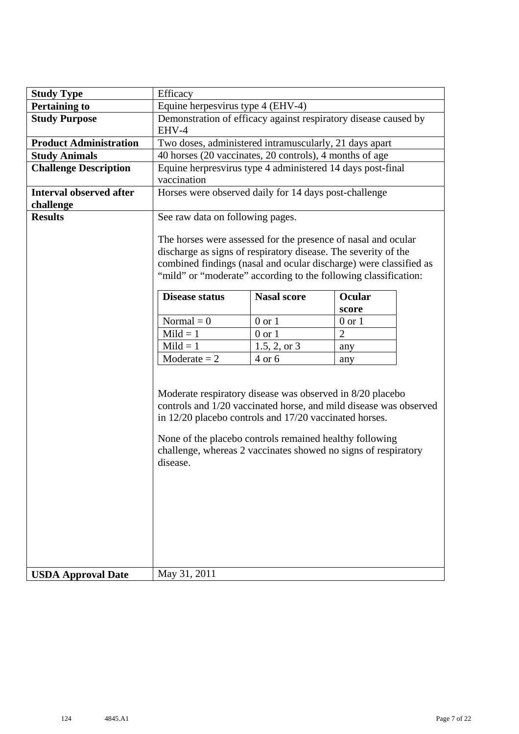| <b>Study Type</b>                           | Efficacy                                                                                                                                                                                                                                                                                                                          |                |                |  |  |  |  |  |  |  |  |  |
|---------------------------------------------|-----------------------------------------------------------------------------------------------------------------------------------------------------------------------------------------------------------------------------------------------------------------------------------------------------------------------------------|----------------|----------------|--|--|--|--|--|--|--|--|--|
| <b>Pertaining to</b>                        | Equine herpesvirus type 4 (EHV-4)                                                                                                                                                                                                                                                                                                 |                |                |  |  |  |  |  |  |  |  |  |
| <b>Study Purpose</b>                        | Demonstration of efficacy against respiratory disease caused by<br>EHV-4<br>Two doses, administered intramuscularly, 21 days apart                                                                                                                                                                                                |                |                |  |  |  |  |  |  |  |  |  |
| <b>Product Administration</b>               |                                                                                                                                                                                                                                                                                                                                   |                |                |  |  |  |  |  |  |  |  |  |
| <b>Study Animals</b>                        | 40 horses (20 vaccinates, 20 controls), 4 months of age                                                                                                                                                                                                                                                                           |                |                |  |  |  |  |  |  |  |  |  |
| <b>Challenge Description</b>                | Equine herpresvirus type 4 administered 14 days post-final<br>vaccination                                                                                                                                                                                                                                                         |                |                |  |  |  |  |  |  |  |  |  |
| <b>Interval observed after</b><br>challenge | Horses were observed daily for 14 days post-challenge                                                                                                                                                                                                                                                                             |                |                |  |  |  |  |  |  |  |  |  |
| <b>Results</b>                              | See raw data on following pages.                                                                                                                                                                                                                                                                                                  |                |                |  |  |  |  |  |  |  |  |  |
|                                             | The horses were assessed for the presence of nasal and ocular<br>discharge as signs of respiratory disease. The severity of the<br>combined findings (nasal and ocular discharge) were classified as<br>"mild" or "moderate" according to the following classification:                                                           |                |                |  |  |  |  |  |  |  |  |  |
|                                             | <b>Nasal score</b><br>Ocular<br><b>Disease status</b>                                                                                                                                                                                                                                                                             |                |                |  |  |  |  |  |  |  |  |  |
|                                             |                                                                                                                                                                                                                                                                                                                                   |                | score          |  |  |  |  |  |  |  |  |  |
|                                             | Normal $= 0$                                                                                                                                                                                                                                                                                                                      | $0$ or $1$     | $0$ or $1$     |  |  |  |  |  |  |  |  |  |
|                                             | $Mild = 1$                                                                                                                                                                                                                                                                                                                        | $0$ or $1$     | $\overline{2}$ |  |  |  |  |  |  |  |  |  |
|                                             | $Mild = 1$                                                                                                                                                                                                                                                                                                                        | $1.5, 2,$ or 3 | any            |  |  |  |  |  |  |  |  |  |
|                                             | $Modernate = 2$                                                                                                                                                                                                                                                                                                                   | 4 or 6         | any            |  |  |  |  |  |  |  |  |  |
|                                             | Moderate respiratory disease was observed in 8/20 placebo<br>controls and 1/20 vaccinated horse, and mild disease was observed<br>in 12/20 placebo controls and 17/20 vaccinated horses.<br>None of the placebo controls remained healthy following<br>challenge, whereas 2 vaccinates showed no signs of respiratory<br>disease. |                |                |  |  |  |  |  |  |  |  |  |
| <b>USDA Approval Date</b>                   | May 31, 2011                                                                                                                                                                                                                                                                                                                      |                |                |  |  |  |  |  |  |  |  |  |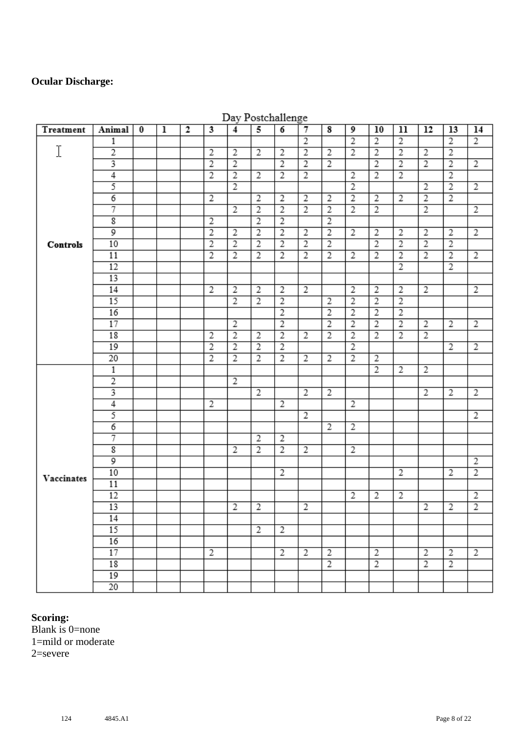#### **Ocular Discharge:**

| Treatment  | Animal                  | $\bf{0}$ | $\overline{1}$ | $\overline{2}$ | 3              | $\overline{4}$ | 5              | $\overline{6}$ | $\overline{7}$ | $\overline{\mathbf{8}}$ | 9              | 10             | 11             | 12             | 13             | 14             |
|------------|-------------------------|----------|----------------|----------------|----------------|----------------|----------------|----------------|----------------|-------------------------|----------------|----------------|----------------|----------------|----------------|----------------|
|            | 1                       |          |                |                |                |                |                |                | $\overline{2}$ |                         | $\overline{2}$ | $\overline{2}$ | $\overline{2}$ |                | $\overline{2}$ | $\overline{2}$ |
| I          | $\overline{2}$          |          |                |                | $\overline{2}$ | $\overline{2}$ | $\overline{2}$ | $\overline{2}$ | $\overline{2}$ | $\overline{2}$          | $\overline{2}$ | $\overline{2}$ | $\overline{2}$ | $\overline{2}$ | $\overline{2}$ |                |
|            | 3                       |          |                |                | $\overline{2}$ | $\overline{2}$ |                | $\overline{2}$ | $\overline{2}$ | $\overline{2}$          |                | $\overline{2}$ | $\overline{2}$ | $\overline{2}$ | $\overline{2}$ | $\overline{2}$ |
|            | $\overline{4}$          |          |                |                | $\overline{2}$ | $\overline{2}$ | $\overline{2}$ | $\overline{2}$ | $\overline{2}$ |                         | 2              | $\overline{2}$ | $\overline{2}$ |                | $\overline{2}$ |                |
|            | 5                       |          |                |                |                | $\overline{2}$ |                |                |                |                         | $\overline{2}$ |                |                | $\overline{2}$ | $\overline{2}$ | $\overline{2}$ |
|            | $\overline{6}$          |          |                |                | $\overline{2}$ |                | $\overline{2}$ | $\overline{2}$ | $\overline{2}$ | $\overline{2}$          | $\overline{2}$ | $\overline{2}$ | $\overline{2}$ | $\overline{2}$ | $\overline{2}$ |                |
|            | 7                       |          |                |                |                | $\overline{2}$ | $\overline{2}$ | $\overline{2}$ | $\overline{2}$ | $\overline{2}$          | $\overline{2}$ | $\overline{2}$ |                | $\overline{2}$ |                | $\overline{2}$ |
|            | $\overline{\mathbf{g}}$ |          |                |                | $\overline{2}$ |                | $\overline{2}$ | $\overline{2}$ |                | $\overline{2}$          |                |                |                |                |                |                |
|            | 9                       |          |                |                | $\overline{2}$ | $\overline{2}$ | $\overline{2}$ | $\overline{2}$ | $\overline{2}$ | $\overline{2}$          | 2              | 2              | 2              | 2              | 2              | $\overline{2}$ |
| Controls   | 10                      |          |                |                | $\overline{2}$ | $\overline{2}$ | $\overline{2}$ | $\overline{2}$ | $\overline{2}$ | $\overline{2}$          |                | $\overline{2}$ | $\overline{2}$ | $\overline{2}$ | $\overline{2}$ |                |
|            | 11                      |          |                |                | $\overline{2}$ | $\overline{2}$ | $\overline{2}$ | $\overline{2}$ | $\overline{2}$ | $\overline{2}$          | $\overline{2}$ | $\overline{2}$ | $\overline{2}$ | $\overline{2}$ | $\overline{2}$ | $\overline{2}$ |
|            | 12                      |          |                |                |                |                |                |                |                |                         |                |                | $\overline{2}$ |                | $\overline{2}$ |                |
|            | 13                      |          |                |                |                |                |                |                |                |                         |                |                |                |                |                |                |
|            | 14                      |          |                |                | $\overline{2}$ | $\overline{2}$ | $\overline{2}$ | $\overline{2}$ | $\overline{2}$ |                         | $\overline{2}$ | $\overline{2}$ | $\overline{2}$ | $\overline{2}$ |                | 2              |
|            | 15                      |          |                |                |                | $\overline{2}$ | $\overline{2}$ | $\overline{2}$ |                | $\overline{2}$          | $\overline{2}$ | $\overline{2}$ | $\overline{2}$ |                |                |                |
|            | 16                      |          |                |                |                |                |                | $\overline{2}$ |                | $\overline{2}$          | $\overline{2}$ | $\overline{2}$ | $\overline{2}$ |                |                |                |
|            | 17                      |          |                |                |                | $\overline{2}$ |                | $\overline{2}$ |                | $\overline{2}$          | $\overline{2}$ | $\overline{2}$ | $\overline{2}$ | $\overline{2}$ | $\overline{2}$ | $\overline{2}$ |
|            | 18                      |          |                |                | $\overline{2}$ | $\overline{2}$ | $\overline{2}$ | $\overline{2}$ | $\overline{2}$ | $\overline{2}$          | $\overline{2}$ | $\overline{2}$ | $\overline{2}$ | $\overline{2}$ |                |                |
|            | 19                      |          |                |                | $\overline{2}$ | $\overline{2}$ | $\overline{2}$ | $\overline{2}$ |                |                         | $\overline{2}$ |                |                |                | $\overline{2}$ | $\overline{2}$ |
|            | 20                      |          |                |                | $\overline{2}$ | $\overline{2}$ | $\overline{2}$ | $\overline{2}$ | $\overline{2}$ | $\overline{2}$          | $\overline{2}$ | 2              |                |                |                |                |
|            | $\mathbbm{1}$           |          |                |                |                |                |                |                |                |                         |                | $\overline{2}$ | $\overline{2}$ | $\overline{2}$ |                |                |
|            | $\overline{2}$          |          |                |                |                | $\overline{2}$ |                |                |                |                         |                |                |                |                |                |                |
|            | 3                       |          |                |                |                |                | $\overline{2}$ |                | $\overline{2}$ | $\overline{c}$          |                |                |                | $\overline{2}$ | $\overline{2}$ | $\overline{2}$ |
|            | $\overline{4}$          |          |                |                | $\overline{2}$ |                |                | $\overline{2}$ |                |                         | 2              |                |                |                |                |                |
|            | 5                       |          |                |                |                |                |                |                | 2              |                         |                |                |                |                |                | 2              |
|            | 6                       |          |                |                |                |                |                |                |                | $\overline{2}$          | $\overline{2}$ |                |                |                |                |                |
|            | 7                       |          |                |                |                |                | $\overline{2}$ | $\overline{2}$ |                |                         |                |                |                |                |                |                |
|            | $\overline{\textbf{g}}$ |          |                |                |                | $\overline{2}$ | $\overline{2}$ | $\overline{2}$ | $\overline{2}$ |                         | 2              |                |                |                |                |                |
|            | 9                       |          |                |                |                |                |                |                |                |                         |                |                |                |                |                | $\overline{2}$ |
| Vaccinates | 10                      |          |                |                |                |                |                | $\overline{2}$ |                |                         |                |                | $\overline{2}$ |                | 2              | $\overline{2}$ |
|            | 11                      |          |                |                |                |                |                |                |                |                         |                |                |                |                |                |                |
|            | 12                      |          |                |                |                |                |                |                |                |                         | $\overline{2}$ | 2              | 2              |                |                | $\overline{2}$ |
|            | 13                      |          |                |                |                | $\overline{2}$ | $\overline{2}$ |                | $\overline{2}$ |                         |                |                |                | $\overline{2}$ | $\overline{2}$ | $\overline{2}$ |
|            | 14                      |          |                |                |                |                |                |                |                |                         |                |                |                |                |                |                |
|            | 15                      |          |                |                |                |                | $\overline{2}$ | $\overline{2}$ |                |                         |                |                |                |                |                |                |
|            | 16                      |          |                |                |                |                |                |                |                |                         |                |                |                |                |                |                |
|            | 17                      |          |                |                | $\overline{2}$ |                |                | $\overline{2}$ | 2              | $\overline{c}$          |                | $\overline{2}$ |                | 2              | 2              | 2              |
|            | 18                      |          |                |                |                |                |                |                |                | $\overline{2}$          |                | $\overline{2}$ |                | $\overline{2}$ | 2              |                |
|            | 19                      |          |                |                |                |                |                |                |                |                         |                |                |                |                |                |                |
|            | 20                      |          |                |                |                |                |                |                |                |                         |                |                |                |                |                |                |

#### Dav Postchallenge

### **Scoring:**

Blank is 0=none 1=mild or moderate 2=severe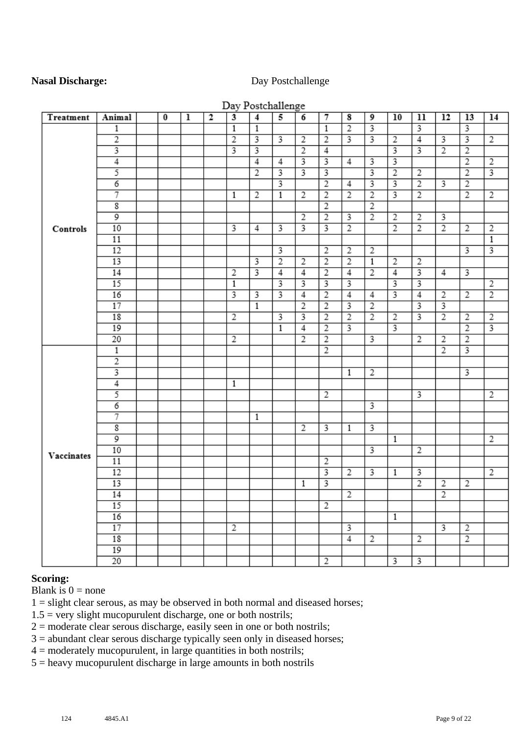#### **Nasal Discharge:** Day Postchallenge

|            |                         |          |   |              |                         | Day Postchallenge |                         |                         |                         |                |                         |                         |                         |                         |                         |                |
|------------|-------------------------|----------|---|--------------|-------------------------|-------------------|-------------------------|-------------------------|-------------------------|----------------|-------------------------|-------------------------|-------------------------|-------------------------|-------------------------|----------------|
| Treatment  | Animal                  | $\bf{0}$ | ı | $\mathbf{2}$ | $\overline{\mathbf{3}}$ | $\overline{4}$    | 5                       | 6                       | 7                       | 8              | 9                       | 10                      | 11                      | 12                      | 13                      | 14             |
|            | 1                       |          |   |              | $\overline{1}$          | $\overline{1}$    |                         |                         | $\overline{1}$          | $\overline{2}$ | 3                       |                         | 3                       |                         | 3                       |                |
|            | $\overline{2}$          |          |   |              | $\overline{2}$          | 3                 | 3                       | $\overline{2}$          | $\overline{2}$          | 3              | 3                       | 2                       | $\overline{4}$          | $\overline{\mathbf{3}}$ | $\overline{\mathbf{3}}$ | $\overline{2}$ |
|            | 3                       |          |   |              |                         | 3                 |                         | $\overline{2}$          | 4                       |                |                         | 3                       | $\overline{3}$          | $\overline{2}$          | $\overline{2}$          |                |
|            | $\overline{4}$          |          |   |              |                         | $\overline{4}$    | $\overline{4}$          |                         |                         | 4              | 3                       |                         |                         |                         | $\overline{2}$          | $\overline{2}$ |
|            | 5                       |          |   |              |                         | $\overline{2}$    |                         | $\overline{\mathbf{3}}$ | 3                       |                | 3                       | $\overline{2}$          | $\overline{2}$          |                         | $\overline{2}$          | 3              |
|            | $\overline{6}$          |          |   |              |                         |                   | $\overline{\mathbf{3}}$ |                         | $\overline{2}$          | $\overline{4}$ | 3                       | $\overline{3}$          | $\overline{2}$          | $\overline{3}$          | $\overline{2}$          |                |
|            | 7                       |          |   |              | $\mathbf{1}$            | $\overline{2}$    | $\mathbf{1}$            | $\overline{2}$          | $\overline{2}$          | $\overline{2}$ | $\overline{2}$          | $\overline{3}$          | $\overline{2}$          |                         | $\overline{2}$          | $\overline{2}$ |
|            | $\overline{\mathbf{g}}$ |          |   |              |                         |                   |                         |                         | $\overline{2}$          |                | $\overline{2}$          |                         |                         |                         |                         |                |
|            | 9                       |          |   |              |                         |                   |                         | $\overline{2}$          | $\overline{2}$          | 3              | $\overline{2}$          | $\overline{2}$          | 2                       | 3                       |                         |                |
| Controls   | 10                      |          |   |              | 3                       | 4                 | 3                       |                         |                         | $\overline{2}$ |                         | $\overline{2}$          | $\overline{2}$          | $\overline{2}$          | $\overline{2}$          | $\overline{2}$ |
|            | 11                      |          |   |              |                         |                   |                         |                         |                         |                |                         |                         |                         |                         |                         | $\mathbf{1}$   |
|            | 12                      |          |   |              |                         |                   | $\overline{\mathbf{3}}$ |                         | $\overline{2}$          | 2              | $\overline{2}$          |                         |                         |                         | 3                       | 3              |
|            | 13                      |          |   |              |                         | 3                 | $\overline{2}$          | $\overline{2}$          | $\overline{2}$          | $\overline{2}$ | $\overline{1}$          | $\overline{2}$          | $\overline{2}$          |                         |                         |                |
|            | 14                      |          |   |              | $\overline{2}$          | 3                 | $\overline{4}$          | $\overline{4}$          | $\overline{2}$          | $\overline{4}$ | $\overline{2}$          | $\overline{4}$          | $\overline{\mathbf{3}}$ | 4                       | 3                       |                |
|            | 15                      |          |   |              | 1                       |                   | 3                       | 3                       | 3                       | 3              |                         | 3                       | 3                       |                         |                         | $\overline{2}$ |
|            | 16                      |          |   |              | 3                       | 3                 | 3                       | 4                       | $\overline{2}$          | 4              | 4                       | 3                       | 4                       | $\overline{2}$          | $\overline{2}$          | $\overline{2}$ |
|            | 17                      |          |   |              |                         | $\overline{1}$    |                         | $\overline{2}$          | $\overline{2}$          | 3              | $\overline{2}$          |                         | 3                       | 3                       |                         |                |
|            | 18                      |          |   |              | 2                       |                   | 3                       | 3                       | $\overline{2}$          | $\overline{2}$ | $\overline{2}$          | $\overline{2}$          | 3                       | $\overline{2}$          | $\overline{2}$          | $\overline{2}$ |
|            | 19                      |          |   |              |                         |                   | 1                       | $\overline{4}$          | $\overline{2}$          | 3              |                         | 3                       |                         |                         | $\overline{2}$          |                |
|            | 20                      |          |   |              | 2                       |                   |                         | $\overline{2}$          | $\overline{2}$          |                | 3                       |                         | 2                       | $\overline{2}$          | $\overline{2}$          |                |
|            | $\mathbf{1}$            |          |   |              |                         |                   |                         |                         | $\overline{2}$          |                |                         |                         |                         | $\overline{2}$          |                         |                |
|            | $\overline{2}$          |          |   |              |                         |                   |                         |                         |                         |                |                         |                         |                         |                         |                         |                |
|            |                         |          |   |              |                         |                   |                         |                         |                         | 1              | 2                       |                         |                         |                         | 3                       |                |
|            | $\overline{4}$          |          |   |              | 1                       |                   |                         |                         |                         |                |                         |                         |                         |                         |                         |                |
|            | 5                       |          |   |              |                         |                   |                         |                         | 2                       |                |                         |                         | 3                       |                         |                         | 2              |
|            | $\overline{6}$          |          |   |              |                         |                   |                         |                         |                         |                | $\overline{\mathbf{3}}$ |                         |                         |                         |                         |                |
|            | 7                       |          |   |              |                         | 1                 |                         |                         |                         |                |                         |                         |                         |                         |                         |                |
|            | $\overline{\mathbf{g}}$ |          |   |              |                         |                   |                         | $\overline{2}$          | 3                       | 1              |                         |                         |                         |                         |                         |                |
|            | $\overline{9}$          |          |   |              |                         |                   |                         |                         |                         |                |                         | $\mathbf{1}$            |                         |                         |                         | 2              |
| Vaccinates | 10                      |          |   |              |                         |                   |                         |                         |                         |                | $\overline{\mathbf{3}}$ |                         | $\overline{2}$          |                         |                         |                |
|            | 11                      |          |   |              |                         |                   |                         |                         | 2                       |                |                         |                         |                         |                         |                         |                |
|            | 12                      |          |   |              |                         |                   |                         |                         | 3                       | $\overline{2}$ | 3                       | 1                       | 3                       |                         |                         | $\overline{2}$ |
|            | 13                      |          |   |              |                         |                   |                         | $\mathbf{1}$            | $\overline{\mathbf{3}}$ |                |                         |                         | $\overline{2}$          | 2                       | $\overline{2}$          |                |
|            | 14                      |          |   |              |                         |                   |                         |                         |                         | $\overline{2}$ |                         |                         |                         | $\overline{2}$          |                         |                |
|            | 15                      |          |   |              |                         |                   |                         |                         | $\overline{2}$          |                |                         |                         |                         |                         |                         |                |
|            | 16                      |          |   |              |                         |                   |                         |                         |                         |                |                         | $\mathbf{1}$            |                         |                         |                         |                |
|            | 17                      |          |   |              | $\overline{2}$          |                   |                         |                         |                         | 3              |                         |                         |                         | 3                       | $\overline{2}$          |                |
|            | 18                      |          |   |              |                         |                   |                         |                         |                         | $\overline{4}$ | 2                       |                         | 2                       |                         | $\overline{2}$          |                |
|            | 19                      |          |   |              |                         |                   |                         |                         |                         |                |                         |                         |                         |                         |                         |                |
|            | $\overline{20}$         |          |   |              |                         |                   |                         |                         | $\overline{2}$          |                |                         | $\overline{\mathbf{3}}$ | $\overline{\mathbf{3}}$ |                         |                         |                |

#### $\mathbf{r}$  $\sim$  1  $\sim$  11

#### **Scoring:**

Blank is  $0 =$  none

 $1 =$  slight clear serous, as may be observed in both normal and diseased horses;

 $1.5$  = very slight mucopurulent discharge, one or both nostrils;

 $2 =$  moderate clear serous discharge, easily seen in one or both nostrils;

3 = abundant clear serous discharge typically seen only in diseased horses;

 $4 =$  moderately mucopurulent, in large quantities in both nostrils;

5 = heavy mucopurulent discharge in large amounts in both nostrils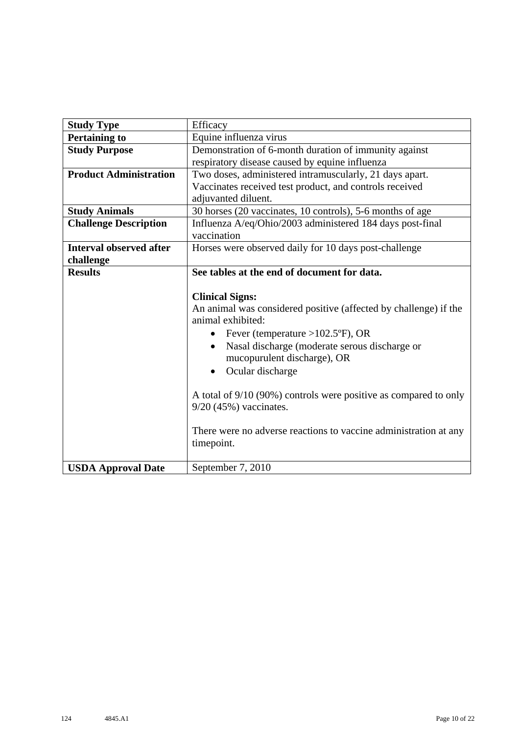| <b>Study Type</b>              | Efficacy                                                         |
|--------------------------------|------------------------------------------------------------------|
| <b>Pertaining to</b>           | Equine influenza virus                                           |
| <b>Study Purpose</b>           | Demonstration of 6-month duration of immunity against            |
|                                | respiratory disease caused by equine influenza                   |
| <b>Product Administration</b>  | Two doses, administered intramuscularly, 21 days apart.          |
|                                | Vaccinates received test product, and controls received          |
|                                | adjuvanted diluent.                                              |
| <b>Study Animals</b>           | 30 horses (20 vaccinates, 10 controls), 5-6 months of age        |
| <b>Challenge Description</b>   | Influenza A/eq/Ohio/2003 administered 184 days post-final        |
|                                | vaccination                                                      |
| <b>Interval observed after</b> | Horses were observed daily for 10 days post-challenge            |
| challenge                      |                                                                  |
| <b>Results</b>                 | See tables at the end of document for data.                      |
|                                |                                                                  |
|                                | <b>Clinical Signs:</b>                                           |
|                                | An animal was considered positive (affected by challenge) if the |
|                                | animal exhibited:                                                |
|                                | Fever (temperature > $102.5$ °F), OR<br>$\bullet$                |
|                                | Nasal discharge (moderate serous discharge or<br>$\bullet$       |
|                                | mucopurulent discharge), OR                                      |
|                                | Ocular discharge<br>$\bullet$                                    |
|                                |                                                                  |
|                                | A total of 9/10 (90%) controls were positive as compared to only |
|                                | $9/20$ (45%) vaccinates.                                         |
|                                |                                                                  |
|                                | There were no adverse reactions to vaccine administration at any |
|                                | timepoint.                                                       |
|                                |                                                                  |
| <b>USDA Approval Date</b>      | September 7, 2010                                                |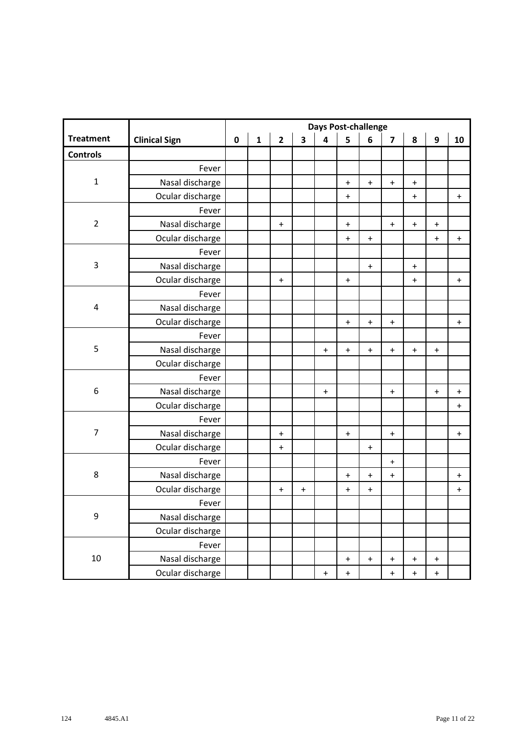|                  |                      |           |              |              |                                  |                                  | <b>Days Post-challenge</b>       |                                  |                                  |                                  |                                  |                                  |
|------------------|----------------------|-----------|--------------|--------------|----------------------------------|----------------------------------|----------------------------------|----------------------------------|----------------------------------|----------------------------------|----------------------------------|----------------------------------|
| <b>Treatment</b> | <b>Clinical Sign</b> | $\pmb{0}$ | $\mathbf{1}$ | $\mathbf{2}$ | 3                                | $\overline{\mathbf{4}}$          | 5                                | 6                                | $\overline{\mathbf{z}}$          | 8                                | $\boldsymbol{9}$                 | 10                               |
| <b>Controls</b>  |                      |           |              |              |                                  |                                  |                                  |                                  |                                  |                                  |                                  |                                  |
|                  | Fever                |           |              |              |                                  |                                  |                                  |                                  |                                  |                                  |                                  |                                  |
| $\mathbf 1$      | Nasal discharge      |           |              |              |                                  |                                  | $\ddot{}$                        | $\boldsymbol{+}$                 | $\begin{array}{c} + \end{array}$ | $\begin{array}{c} + \end{array}$ |                                  |                                  |
|                  | Ocular discharge     |           |              |              |                                  |                                  | $\pmb{+}$                        |                                  |                                  | $\ddot{}$                        |                                  | $\ddot{}$                        |
|                  | Fever                |           |              |              |                                  |                                  |                                  |                                  |                                  |                                  |                                  |                                  |
| $\overline{2}$   | Nasal discharge      |           |              | $\ddot{}$    |                                  |                                  | $\ddot{}$                        |                                  | $\mathbf +$                      | $\ddot{}$                        | $\ddot{}$                        |                                  |
|                  | Ocular discharge     |           |              |              |                                  |                                  | $\ddot{}$                        | $\boldsymbol{+}$                 |                                  |                                  | $\ddot{}$                        | $\ddag$                          |
|                  | Fever                |           |              |              |                                  |                                  |                                  |                                  |                                  |                                  |                                  |                                  |
| 3                | Nasal discharge      |           |              |              |                                  |                                  |                                  | $\begin{array}{c} + \end{array}$ |                                  | $\ddot{}$                        |                                  |                                  |
|                  | Ocular discharge     |           |              | $\pmb{+}$    |                                  |                                  | $\ddot{}$                        |                                  |                                  | $\ddot{}$                        |                                  | $\ddot{}$                        |
|                  | Fever                |           |              |              |                                  |                                  |                                  |                                  |                                  |                                  |                                  |                                  |
| 4                | Nasal discharge      |           |              |              |                                  |                                  |                                  |                                  |                                  |                                  |                                  |                                  |
|                  | Ocular discharge     |           |              |              |                                  |                                  | $\ddot{}$                        | $\ddot{}$                        | $\ddot{}$                        |                                  |                                  | $\ddot{}$                        |
|                  | Fever                |           |              |              |                                  |                                  |                                  |                                  |                                  |                                  |                                  |                                  |
| 5                | Nasal discharge      |           |              |              |                                  | $\ddot{}$                        | $\begin{array}{c} + \end{array}$ | $\boldsymbol{+}$                 | $\begin{array}{c} + \end{array}$ | $\ddot{}$                        | $\ddot{}$                        |                                  |
|                  | Ocular discharge     |           |              |              |                                  |                                  |                                  |                                  |                                  |                                  |                                  |                                  |
|                  | Fever                |           |              |              |                                  |                                  |                                  |                                  |                                  |                                  |                                  |                                  |
| 6                | Nasal discharge      |           |              |              |                                  | $\ddot{}$                        |                                  |                                  | $\ddot{}$                        |                                  | $\ddot{}$                        | $\ddot{}$                        |
|                  | Ocular discharge     |           |              |              |                                  |                                  |                                  |                                  |                                  |                                  |                                  | $\begin{array}{c} + \end{array}$ |
|                  | Fever                |           |              |              |                                  |                                  |                                  |                                  |                                  |                                  |                                  |                                  |
| $\overline{7}$   | Nasal discharge      |           |              | $\ddot{}$    |                                  |                                  | $\ddot{}$                        |                                  | $\mathbf +$                      |                                  |                                  | $\ddot{}$                        |
|                  | Ocular discharge     |           |              | $\ddot{}$    |                                  |                                  |                                  | $\ddot{}$                        |                                  |                                  |                                  |                                  |
|                  | Fever                |           |              |              |                                  |                                  |                                  |                                  | $\begin{array}{c} + \end{array}$ |                                  |                                  |                                  |
| 8                | Nasal discharge      |           |              |              |                                  |                                  | $\ddot{}$                        | $\boldsymbol{+}$                 | $\ddag$                          |                                  |                                  | $\ddot{}$                        |
|                  | Ocular discharge     |           |              | $\ddot{}$    | $\begin{array}{c} + \end{array}$ |                                  | $\ddot{}$                        | $\begin{array}{c} + \end{array}$ |                                  |                                  |                                  | $\begin{array}{c} + \end{array}$ |
|                  | Fever                |           |              |              |                                  |                                  |                                  |                                  |                                  |                                  |                                  |                                  |
| 9                | Nasal discharge      |           |              |              |                                  |                                  |                                  |                                  |                                  |                                  |                                  |                                  |
|                  | Ocular discharge     |           |              |              |                                  |                                  |                                  |                                  |                                  |                                  |                                  |                                  |
|                  | Fever                |           |              |              |                                  |                                  |                                  |                                  |                                  |                                  |                                  |                                  |
| 10               | Nasal discharge      |           |              |              |                                  |                                  | $\ddot{}$                        | $\begin{array}{c} + \end{array}$ | $\ddot{}$                        | $\ddot{}$                        | $\pmb{+}$                        |                                  |
|                  | Ocular discharge     |           |              |              |                                  | $\begin{array}{c} + \end{array}$ | $\ddot{}$                        |                                  | $\begin{array}{c} + \end{array}$ | $\begin{array}{c} + \end{array}$ | $\begin{array}{c} + \end{array}$ |                                  |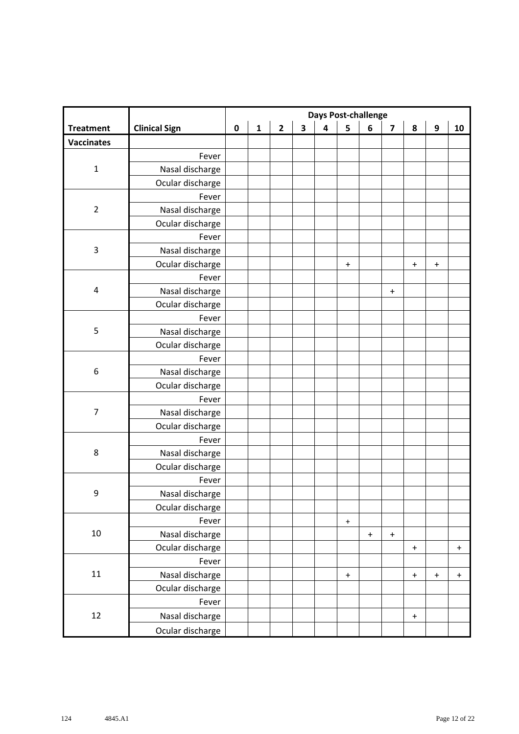|                   |                      | <b>Days Post-challenge</b> |              |                |                         |                         |                  |           |                                  |                                  |                                  |             |  |
|-------------------|----------------------|----------------------------|--------------|----------------|-------------------------|-------------------------|------------------|-----------|----------------------------------|----------------------------------|----------------------------------|-------------|--|
| <b>Treatment</b>  | <b>Clinical Sign</b> | $\pmb{0}$                  | $\mathbf{1}$ | $\overline{2}$ | $\overline{\mathbf{3}}$ | $\overline{\mathbf{4}}$ | 5                | 6         | $\overline{\mathbf{z}}$          | 8                                | 9                                | 10          |  |
| <b>Vaccinates</b> |                      |                            |              |                |                         |                         |                  |           |                                  |                                  |                                  |             |  |
|                   | Fever                |                            |              |                |                         |                         |                  |           |                                  |                                  |                                  |             |  |
| $\mathbf 1$       | Nasal discharge      |                            |              |                |                         |                         |                  |           |                                  |                                  |                                  |             |  |
|                   | Ocular discharge     |                            |              |                |                         |                         |                  |           |                                  |                                  |                                  |             |  |
|                   | Fever                |                            |              |                |                         |                         |                  |           |                                  |                                  |                                  |             |  |
| $\overline{2}$    | Nasal discharge      |                            |              |                |                         |                         |                  |           |                                  |                                  |                                  |             |  |
|                   | Ocular discharge     |                            |              |                |                         |                         |                  |           |                                  |                                  |                                  |             |  |
|                   | Fever                |                            |              |                |                         |                         |                  |           |                                  |                                  |                                  |             |  |
| $\mathsf 3$       | Nasal discharge      |                            |              |                |                         |                         |                  |           |                                  |                                  |                                  |             |  |
|                   | Ocular discharge     |                            |              |                |                         |                         | $\ddot{}$        |           |                                  | $\ddot{}$                        | $\ddot{}$                        |             |  |
|                   | Fever                |                            |              |                |                         |                         |                  |           |                                  |                                  |                                  |             |  |
| 4                 | Nasal discharge      |                            |              |                |                         |                         |                  |           | $\begin{array}{c} + \end{array}$ |                                  |                                  |             |  |
|                   | Ocular discharge     |                            |              |                |                         |                         |                  |           |                                  |                                  |                                  |             |  |
|                   | Fever                |                            |              |                |                         |                         |                  |           |                                  |                                  |                                  |             |  |
| $\mathsf S$       | Nasal discharge      |                            |              |                |                         |                         |                  |           |                                  |                                  |                                  |             |  |
|                   | Ocular discharge     |                            |              |                |                         |                         |                  |           |                                  |                                  |                                  |             |  |
|                   | Fever                |                            |              |                |                         |                         |                  |           |                                  |                                  |                                  |             |  |
| 6                 | Nasal discharge      |                            |              |                |                         |                         |                  |           |                                  |                                  |                                  |             |  |
|                   | Ocular discharge     |                            |              |                |                         |                         |                  |           |                                  |                                  |                                  |             |  |
|                   | Fever                |                            |              |                |                         |                         |                  |           |                                  |                                  |                                  |             |  |
| $\overline{7}$    | Nasal discharge      |                            |              |                |                         |                         |                  |           |                                  |                                  |                                  |             |  |
|                   | Ocular discharge     |                            |              |                |                         |                         |                  |           |                                  |                                  |                                  |             |  |
|                   | Fever                |                            |              |                |                         |                         |                  |           |                                  |                                  |                                  |             |  |
| $\,8\,$           | Nasal discharge      |                            |              |                |                         |                         |                  |           |                                  |                                  |                                  |             |  |
|                   | Ocular discharge     |                            |              |                |                         |                         |                  |           |                                  |                                  |                                  |             |  |
|                   | Fever                |                            |              |                |                         |                         |                  |           |                                  |                                  |                                  |             |  |
| 9                 | Nasal discharge      |                            |              |                |                         |                         |                  |           |                                  |                                  |                                  |             |  |
|                   | Ocular discharge     |                            |              |                |                         |                         |                  |           |                                  |                                  |                                  |             |  |
|                   | Fever                |                            |              |                |                         |                         | $\boldsymbol{+}$ |           |                                  |                                  |                                  |             |  |
| 10                | Nasal discharge      |                            |              |                |                         |                         |                  | $\ddot{}$ | $\mathbf +$                      |                                  |                                  |             |  |
|                   | Ocular discharge     |                            |              |                |                         |                         |                  |           |                                  | $\ddot{}$                        |                                  | $\mathbf +$ |  |
|                   | Fever                |                            |              |                |                         |                         |                  |           |                                  |                                  |                                  |             |  |
| $11\,$            | Nasal discharge      |                            |              |                |                         |                         | $\ddot{}$        |           |                                  | $\begin{array}{c} + \end{array}$ | $\begin{array}{c} + \end{array}$ | $\ddot{}$   |  |
|                   | Ocular discharge     |                            |              |                |                         |                         |                  |           |                                  |                                  |                                  |             |  |
|                   | Fever                |                            |              |                |                         |                         |                  |           |                                  |                                  |                                  |             |  |
| 12                | Nasal discharge      |                            |              |                |                         |                         |                  |           |                                  | $\ddot{}$                        |                                  |             |  |
|                   | Ocular discharge     |                            |              |                |                         |                         |                  |           |                                  |                                  |                                  |             |  |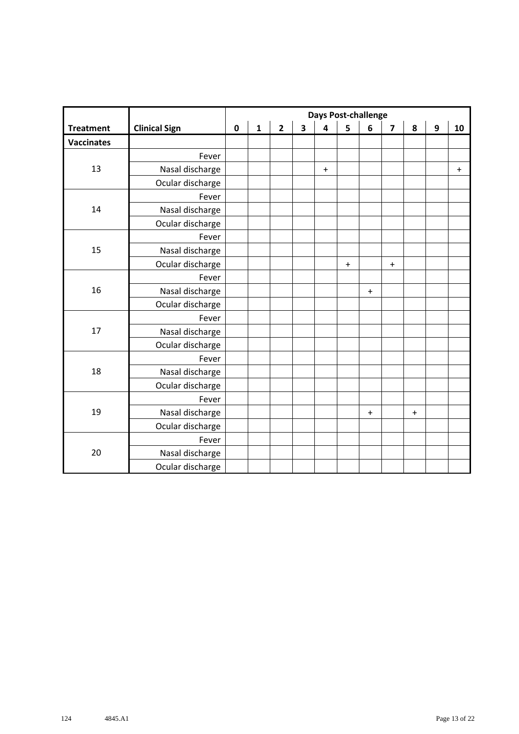|                   |                      | <b>Days Post-challenge</b> |              |                |                         |                         |           |                                  |                                  |           |                  |           |
|-------------------|----------------------|----------------------------|--------------|----------------|-------------------------|-------------------------|-----------|----------------------------------|----------------------------------|-----------|------------------|-----------|
| <b>Treatment</b>  | <b>Clinical Sign</b> | $\mathbf 0$                | $\mathbf{1}$ | $\overline{2}$ | $\overline{\mathbf{3}}$ | $\overline{\mathbf{4}}$ | 5         | 6                                | $\overline{\mathbf{z}}$          | 8         | $\boldsymbol{9}$ | 10        |
| <b>Vaccinates</b> |                      |                            |              |                |                         |                         |           |                                  |                                  |           |                  |           |
|                   | Fever                |                            |              |                |                         |                         |           |                                  |                                  |           |                  |           |
| 13                | Nasal discharge      |                            |              |                |                         | $\boldsymbol{+}$        |           |                                  |                                  |           |                  | $\ddot{}$ |
|                   | Ocular discharge     |                            |              |                |                         |                         |           |                                  |                                  |           |                  |           |
|                   | Fever                |                            |              |                |                         |                         |           |                                  |                                  |           |                  |           |
| 14                | Nasal discharge      |                            |              |                |                         |                         |           |                                  |                                  |           |                  |           |
|                   | Ocular discharge     |                            |              |                |                         |                         |           |                                  |                                  |           |                  |           |
|                   | Fever                |                            |              |                |                         |                         |           |                                  |                                  |           |                  |           |
| 15                | Nasal discharge      |                            |              |                |                         |                         |           |                                  |                                  |           |                  |           |
|                   | Ocular discharge     |                            |              |                |                         |                         | $\pmb{+}$ |                                  | $\begin{array}{c} + \end{array}$ |           |                  |           |
|                   | Fever                |                            |              |                |                         |                         |           |                                  |                                  |           |                  |           |
| 16                | Nasal discharge      |                            |              |                |                         |                         |           | $\ddot{}$                        |                                  |           |                  |           |
|                   | Ocular discharge     |                            |              |                |                         |                         |           |                                  |                                  |           |                  |           |
|                   | Fever                |                            |              |                |                         |                         |           |                                  |                                  |           |                  |           |
| 17                | Nasal discharge      |                            |              |                |                         |                         |           |                                  |                                  |           |                  |           |
|                   | Ocular discharge     |                            |              |                |                         |                         |           |                                  |                                  |           |                  |           |
|                   | Fever                |                            |              |                |                         |                         |           |                                  |                                  |           |                  |           |
| 18                | Nasal discharge      |                            |              |                |                         |                         |           |                                  |                                  |           |                  |           |
|                   | Ocular discharge     |                            |              |                |                         |                         |           |                                  |                                  |           |                  |           |
|                   | Fever                |                            |              |                |                         |                         |           |                                  |                                  |           |                  |           |
| 19                | Nasal discharge      |                            |              |                |                         |                         |           | $\begin{array}{c} + \end{array}$ |                                  | $\ddot{}$ |                  |           |
|                   | Ocular discharge     |                            |              |                |                         |                         |           |                                  |                                  |           |                  |           |
|                   | Fever                |                            |              |                |                         |                         |           |                                  |                                  |           |                  |           |
| 20                | Nasal discharge      |                            |              |                |                         |                         |           |                                  |                                  |           |                  |           |
|                   | Ocular discharge     |                            |              |                |                         |                         |           |                                  |                                  |           |                  |           |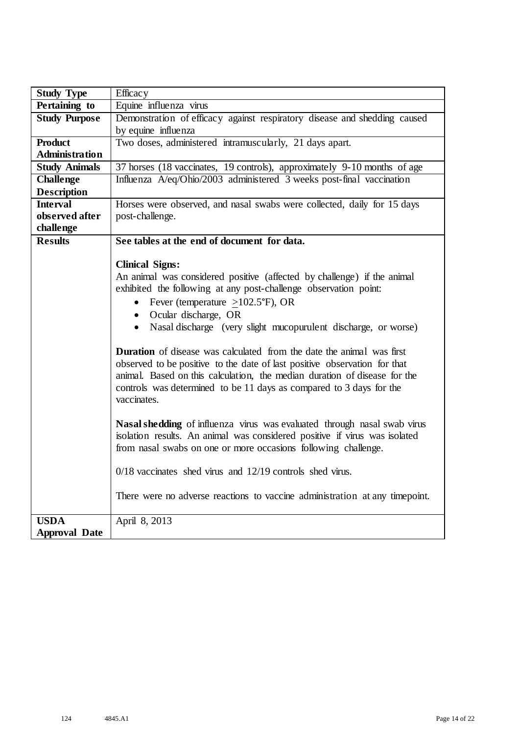| <b>Study Type</b>     | Efficacy                                                                     |
|-----------------------|------------------------------------------------------------------------------|
| Pertaining to         | Equine influenza virus                                                       |
| <b>Study Purpose</b>  | Demonstration of efficacy against respiratory disease and shedding caused    |
|                       | by equine influenza                                                          |
| <b>Product</b>        | Two doses, administered intramuscularly, 21 days apart.                      |
| <b>Administration</b> |                                                                              |
| <b>Study Animals</b>  | 37 horses (18 vaccinates, 19 controls), approximately 9-10 months of age     |
| <b>Challenge</b>      | Influenza A/eq/Ohio/2003 administered 3 weeks post-final vaccination         |
| <b>Description</b>    |                                                                              |
| <b>Interval</b>       | Horses were observed, and nasal swabs were collected, daily for 15 days      |
| observed after        | post-challenge.                                                              |
| challenge             |                                                                              |
| <b>Results</b>        | See tables at the end of document for data.                                  |
|                       |                                                                              |
|                       | <b>Clinical Signs:</b>                                                       |
|                       | An animal was considered positive (affected by challenge) if the animal      |
|                       | exhibited the following at any post-challenge observation point:             |
|                       | • Fever (temperature $\geq$ 102.5°F), OR                                     |
|                       | • Ocular discharge, OR                                                       |
|                       | • Nasal discharge (very slight mucopurulent discharge, or worse)             |
|                       | <b>Duration</b> of disease was calculated from the date the animal was first |
|                       | observed to be positive to the date of last positive observation for that    |
|                       | animal. Based on this calculation, the median duration of disease for the    |
|                       | controls was determined to be 11 days as compared to 3 days for the          |
|                       | vaccinates.                                                                  |
|                       |                                                                              |
|                       | Nasal shedding of influenza virus was evaluated through nasal swab virus     |
|                       | isolation results. An animal was considered positive if virus was isolated   |
|                       | from nasal swabs on one or more occasions following challenge.               |
|                       |                                                                              |
|                       | $0/18$ vaccinates shed virus and $12/19$ controls shed virus.                |
|                       |                                                                              |
|                       | There were no adverse reactions to vaccine administration at any timepoint.  |
| <b>USDA</b>           | April 8, 2013                                                                |
| <b>Approval Date</b>  |                                                                              |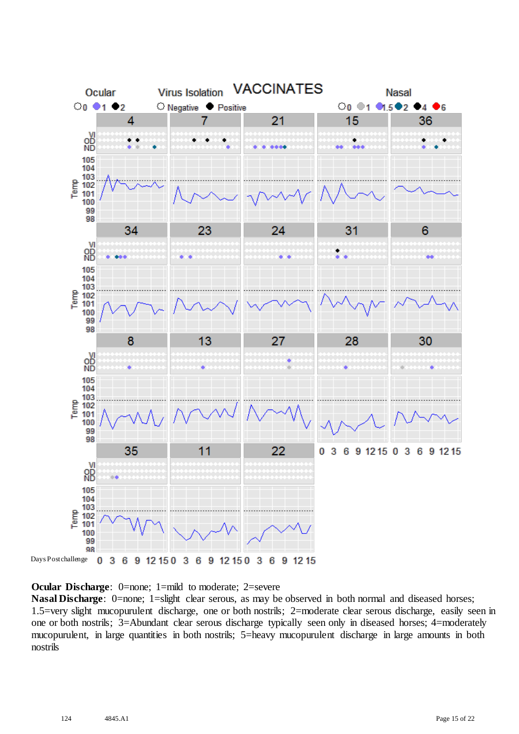

**Ocular Discharge:** 0=none; 1=mild to moderate; 2=severe

**Nasal Discharge**: 0=none; 1=slight clear serous, as may be observed in both normal and diseased horses; 1.5=very slight mucopurulent discharge, one or both nostrils; 2=moderate clear serous discharge, easily seen in one or both nostrils; 3=Abundant clear serous discharge typically seen only in diseased horses; 4=moderately mucopurulent, in large quantities in both nostrils; 5=heavy mucopurulent discharge in large amounts in both nostrils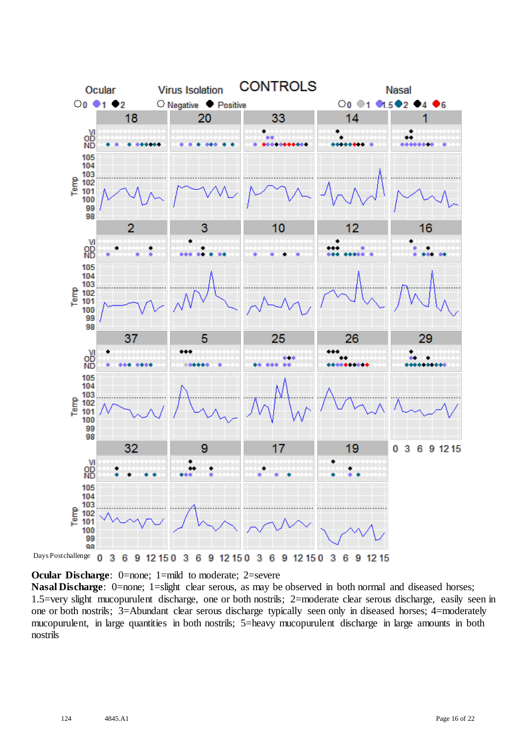

**Ocular Discharge:** 0=none; 1=mild to moderate; 2=severe

**Nasal Discharge**: 0=none; 1=slight clear serous, as may be observed in both normal and diseased horses; 1.5=very slight mucopurulent discharge, one or both nostrils; 2=moderate clear serous discharge, easily seen in one or both nostrils; 3=Abundant clear serous discharge typically seen only in diseased horses; 4=moderately mucopurulent, in large quantities in both nostrils; 5=heavy mucopurulent discharge in large amounts in both nostrils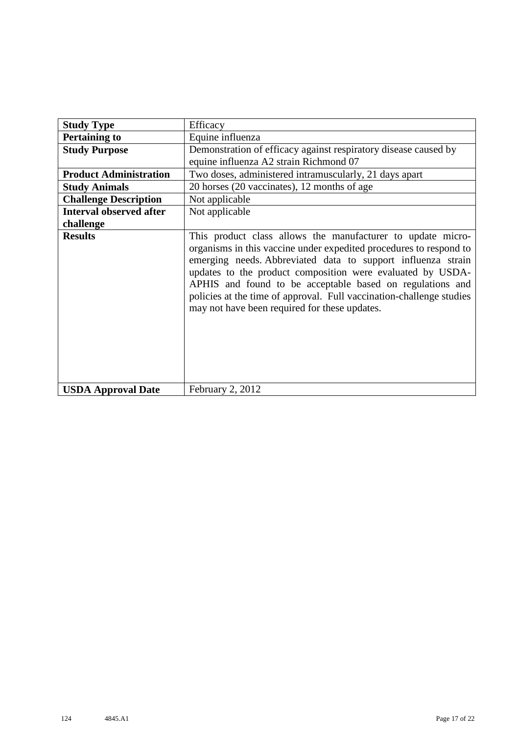| <b>Study Type</b>              | Efficacy                                                                                                                                                                                                                                                                                                                                                                                                                                              |
|--------------------------------|-------------------------------------------------------------------------------------------------------------------------------------------------------------------------------------------------------------------------------------------------------------------------------------------------------------------------------------------------------------------------------------------------------------------------------------------------------|
| <b>Pertaining to</b>           | Equine influenza                                                                                                                                                                                                                                                                                                                                                                                                                                      |
| <b>Study Purpose</b>           | Demonstration of efficacy against respiratory disease caused by                                                                                                                                                                                                                                                                                                                                                                                       |
|                                | equine influenza A2 strain Richmond 07                                                                                                                                                                                                                                                                                                                                                                                                                |
| <b>Product Administration</b>  | Two doses, administered intramuscularly, 21 days apart                                                                                                                                                                                                                                                                                                                                                                                                |
| <b>Study Animals</b>           | 20 horses (20 vaccinates), 12 months of age                                                                                                                                                                                                                                                                                                                                                                                                           |
| <b>Challenge Description</b>   | Not applicable                                                                                                                                                                                                                                                                                                                                                                                                                                        |
| <b>Interval observed after</b> | Not applicable                                                                                                                                                                                                                                                                                                                                                                                                                                        |
| challenge                      |                                                                                                                                                                                                                                                                                                                                                                                                                                                       |
| <b>Results</b>                 | This product class allows the manufacturer to update micro-<br>organisms in this vaccine under expedited procedures to respond to<br>emerging needs. Abbreviated data to support influenza strain<br>updates to the product composition were evaluated by USDA-<br>APHIS and found to be acceptable based on regulations and<br>policies at the time of approval. Full vaccination-challenge studies<br>may not have been required for these updates. |
| <b>USDA Approval Date</b>      | February 2, 2012                                                                                                                                                                                                                                                                                                                                                                                                                                      |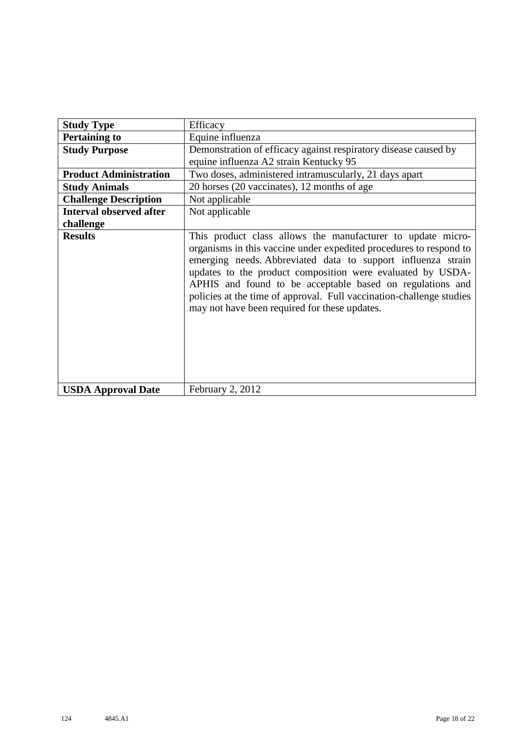| <b>Study Type</b>              | Efficacy                                                                                                                                                                                                                                                                                                                                                                                                                                              |
|--------------------------------|-------------------------------------------------------------------------------------------------------------------------------------------------------------------------------------------------------------------------------------------------------------------------------------------------------------------------------------------------------------------------------------------------------------------------------------------------------|
| <b>Pertaining to</b>           | Equine influenza                                                                                                                                                                                                                                                                                                                                                                                                                                      |
| <b>Study Purpose</b>           | Demonstration of efficacy against respiratory disease caused by                                                                                                                                                                                                                                                                                                                                                                                       |
|                                | equine influenza A2 strain Kentucky 95                                                                                                                                                                                                                                                                                                                                                                                                                |
| <b>Product Administration</b>  | Two doses, administered intramuscularly, 21 days apart                                                                                                                                                                                                                                                                                                                                                                                                |
| <b>Study Animals</b>           | 20 horses (20 vaccinates), 12 months of age                                                                                                                                                                                                                                                                                                                                                                                                           |
| <b>Challenge Description</b>   | Not applicable                                                                                                                                                                                                                                                                                                                                                                                                                                        |
| <b>Interval observed after</b> | Not applicable                                                                                                                                                                                                                                                                                                                                                                                                                                        |
| challenge                      |                                                                                                                                                                                                                                                                                                                                                                                                                                                       |
| <b>Results</b>                 | This product class allows the manufacturer to update micro-<br>organisms in this vaccine under expedited procedures to respond to<br>emerging needs. Abbreviated data to support influenza strain<br>updates to the product composition were evaluated by USDA-<br>APHIS and found to be acceptable based on regulations and<br>policies at the time of approval. Full vaccination-challenge studies<br>may not have been required for these updates. |
| <b>USDA Approval Date</b>      | February 2, 2012                                                                                                                                                                                                                                                                                                                                                                                                                                      |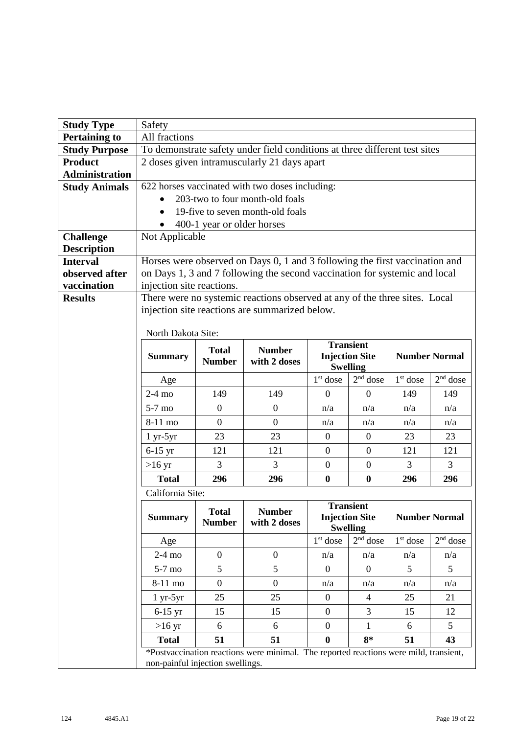| <b>Study Type</b>                      | Safety                                       |                  |                                                                                       |                                          |                               |            |                      |  |
|----------------------------------------|----------------------------------------------|------------------|---------------------------------------------------------------------------------------|------------------------------------------|-------------------------------|------------|----------------------|--|
| <b>Pertaining to</b>                   | All fractions                                |                  |                                                                                       |                                          |                               |            |                      |  |
| <b>Study Purpose</b>                   |                                              |                  | To demonstrate safety under field conditions at three different test sites            |                                          |                               |            |                      |  |
| <b>Product</b>                         |                                              |                  | 2 doses given intramuscularly 21 days apart                                           |                                          |                               |            |                      |  |
| <b>Administration</b>                  |                                              |                  |                                                                                       |                                          |                               |            |                      |  |
| <b>Study Animals</b>                   |                                              |                  | 622 horses vaccinated with two doses including:                                       |                                          |                               |            |                      |  |
|                                        |                                              |                  | 203-two to four month-old foals                                                       |                                          |                               |            |                      |  |
|                                        |                                              |                  | 19-five to seven month-old foals                                                      |                                          |                               |            |                      |  |
|                                        | 400-1 year or older horses<br>Not Applicable |                  |                                                                                       |                                          |                               |            |                      |  |
| <b>Challenge</b><br><b>Description</b> |                                              |                  |                                                                                       |                                          |                               |            |                      |  |
| <b>Interval</b>                        |                                              |                  | Horses were observed on Days 0, 1 and 3 following the first vaccination and           |                                          |                               |            |                      |  |
| observed after                         |                                              |                  | on Days 1, 3 and 7 following the second vaccination for systemic and local            |                                          |                               |            |                      |  |
| vaccination                            | injection site reactions.                    |                  |                                                                                       |                                          |                               |            |                      |  |
| <b>Results</b>                         |                                              |                  | There were no systemic reactions observed at any of the three sites. Local            |                                          |                               |            |                      |  |
|                                        |                                              |                  | injection site reactions are summarized below.                                        |                                          |                               |            |                      |  |
|                                        |                                              |                  |                                                                                       |                                          |                               |            |                      |  |
|                                        | North Dakota Site:                           |                  |                                                                                       |                                          | <b>Transient</b>              |            |                      |  |
|                                        | <b>Summary</b>                               | <b>Total</b>     | <b>Number</b>                                                                         |                                          |                               |            | <b>Number Normal</b> |  |
|                                        |                                              | <b>Number</b>    | with 2 doses                                                                          | <b>Injection Site</b><br><b>Swelling</b> |                               |            |                      |  |
|                                        | Age                                          |                  |                                                                                       | $1st$ dose                               | $2nd$ dose                    | $1st$ dose | $2nd$ dose           |  |
|                                        | $2-4$ mo                                     | 149              | 149                                                                                   | $\theta$                                 | $\mathbf{0}$                  | 149        | 149                  |  |
|                                        | $5-7$ mo                                     | $\boldsymbol{0}$ | $\overline{0}$                                                                        | n/a                                      | n/a                           | n/a        | n/a                  |  |
|                                        | 8-11 mo                                      | $\overline{0}$   | $\overline{0}$                                                                        | n/a                                      | n/a                           | n/a        | n/a                  |  |
|                                        | $1 yr-5yr$                                   | 23               | 23                                                                                    | $\overline{0}$                           | $\mathbf{0}$                  | 23         | 23                   |  |
|                                        | $6-15$ yr                                    | 121              | 121                                                                                   | $\overline{0}$                           | $\mathbf{0}$                  | 121        | 121                  |  |
|                                        | $>16 \text{ yr}$                             | 3                | 3                                                                                     | $\boldsymbol{0}$                         | $\mathbf{0}$                  | 3          | 3                    |  |
|                                        | <b>Total</b>                                 | 296              | 296                                                                                   | $\bf{0}$                                 | $\boldsymbol{0}$              | 296        | 296                  |  |
|                                        | California Site:                             |                  |                                                                                       |                                          |                               |            |                      |  |
|                                        |                                              | <b>Total</b>     | <b>Number</b>                                                                         |                                          | <b>Transient</b>              |            |                      |  |
|                                        | <b>Summary</b>                               | <b>Number</b>    | with 2 doses                                                                          |                                          | <b>Injection Site</b>         |            | <b>Number Normal</b> |  |
|                                        | Age                                          |                  |                                                                                       | $1st$ dose                               | <b>Swelling</b><br>$2nd$ dose | $1st$ dose | $2nd$ dose           |  |
|                                        | $2-4$ mo                                     | $\overline{0}$   | $\boldsymbol{0}$                                                                      | n/a                                      | n/a                           | n/a        | n/a                  |  |
|                                        | $5-7$ mo                                     | 5                | 5                                                                                     | $\Omega$                                 | $\theta$                      | 5          | 5                    |  |
|                                        | $8-11$ mo                                    | $\overline{0}$   | $\boldsymbol{0}$                                                                      | n/a                                      | n/a                           | n/a        | n/a                  |  |
|                                        | $1 yr-5yr$                                   | 25               | 25                                                                                    | $\boldsymbol{0}$                         | $\overline{4}$                | 25         | 21                   |  |
|                                        | $6-15$ yr                                    | 15               | 15                                                                                    | $\boldsymbol{0}$                         | 3                             | 15         | 12                   |  |
|                                        | $>16$ yr                                     | 6                | 6                                                                                     | $\overline{0}$                           | 1                             | 6          | 5                    |  |
|                                        | <b>Total</b>                                 | 51               | 51                                                                                    | $\bf{0}$                                 | $8*$                          | 51         | 43                   |  |
|                                        |                                              |                  | *Postvaccination reactions were minimal. The reported reactions were mild, transient, |                                          |                               |            |                      |  |
|                                        | non-painful injection swellings.             |                  |                                                                                       |                                          |                               |            |                      |  |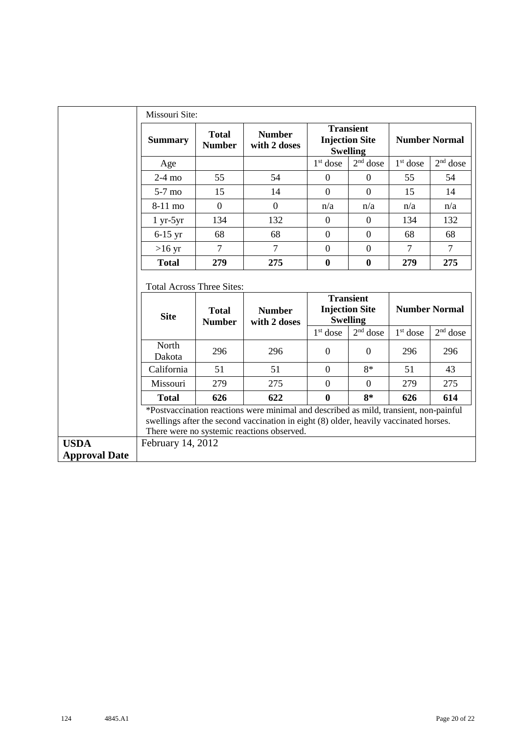|                                     | Missouri Site:                   |                               |                                                                                                                                                                                                                              |                |                                                              |                      |                      |  |
|-------------------------------------|----------------------------------|-------------------------------|------------------------------------------------------------------------------------------------------------------------------------------------------------------------------------------------------------------------------|----------------|--------------------------------------------------------------|----------------------|----------------------|--|
|                                     | <b>Summary</b>                   | <b>Total</b><br><b>Number</b> | <b>Number</b><br>with 2 doses                                                                                                                                                                                                |                | <b>Transient</b><br><b>Injection Site</b><br><b>Swelling</b> | <b>Number Normal</b> |                      |  |
|                                     | Age                              |                               |                                                                                                                                                                                                                              | $1st$ dose     | $2nd$ dose                                                   | $1st$ dose           | $2nd$ dose           |  |
|                                     | $2-4$ mo                         | 55                            | 54                                                                                                                                                                                                                           | $\mathbf{0}$   | $\overline{0}$                                               | 55                   | 54                   |  |
|                                     | $5-7$ mo                         | 15                            | 14                                                                                                                                                                                                                           | $\overline{0}$ | $\Omega$                                                     | 15                   | 14                   |  |
|                                     | 8-11 mo                          | $\overline{0}$                | $\overline{0}$                                                                                                                                                                                                               | n/a            | n/a                                                          | n/a                  | n/a                  |  |
|                                     | $1 yr-5yr$                       | 134                           | 132                                                                                                                                                                                                                          | $\mathbf{0}$   | $\mathbf{0}$                                                 | 134                  | 132                  |  |
|                                     | $6-15$ yr                        | 68                            | 68                                                                                                                                                                                                                           | $\mathbf{0}$   | $\boldsymbol{0}$                                             | 68                   | 68                   |  |
|                                     | $>16$ yr                         | $\overline{7}$                | $\overline{7}$                                                                                                                                                                                                               | $\overline{0}$ | $\boldsymbol{0}$                                             | $\overline{7}$       | $\tau$               |  |
|                                     | <b>Total</b>                     | 279                           | 275                                                                                                                                                                                                                          | $\bf{0}$       | $\bf{0}$                                                     | 279                  | 275                  |  |
|                                     | <b>Total Across Three Sites:</b> |                               |                                                                                                                                                                                                                              |                |                                                              |                      |                      |  |
|                                     | <b>Site</b>                      | <b>Total</b><br><b>Number</b> | <b>Number</b><br>with 2 doses                                                                                                                                                                                                |                | <b>Transient</b><br><b>Injection Site</b><br><b>Swelling</b> |                      | <b>Number Normal</b> |  |
|                                     |                                  |                               |                                                                                                                                                                                                                              | $1st$ dose     | $2nd$ dose                                                   | $1st$ dose           | $2nd$ dose           |  |
|                                     | North<br>Dakota                  | 296                           | 296                                                                                                                                                                                                                          | $\mathbf{0}$   | $\theta$                                                     | 296                  | 296                  |  |
|                                     | California                       | 51                            | 51                                                                                                                                                                                                                           | $\theta$       | $8*$                                                         | 51                   | 43                   |  |
|                                     | Missouri                         | 279                           | 275                                                                                                                                                                                                                          | $\overline{0}$ | $\Omega$                                                     | 279                  | 275                  |  |
|                                     | <b>Total</b>                     | 626                           | 622                                                                                                                                                                                                                          | $\bf{0}$       | $8*$                                                         | 626                  | 614                  |  |
|                                     |                                  |                               | *Postvaccination reactions were minimal and described as mild, transient, non-painful<br>swellings after the second vaccination in eight (8) older, heavily vaccinated horses.<br>There were no systemic reactions observed. |                |                                                              |                      |                      |  |
| <b>USDA</b><br><b>Approval Date</b> | February 14, 2012                |                               |                                                                                                                                                                                                                              |                |                                                              |                      |                      |  |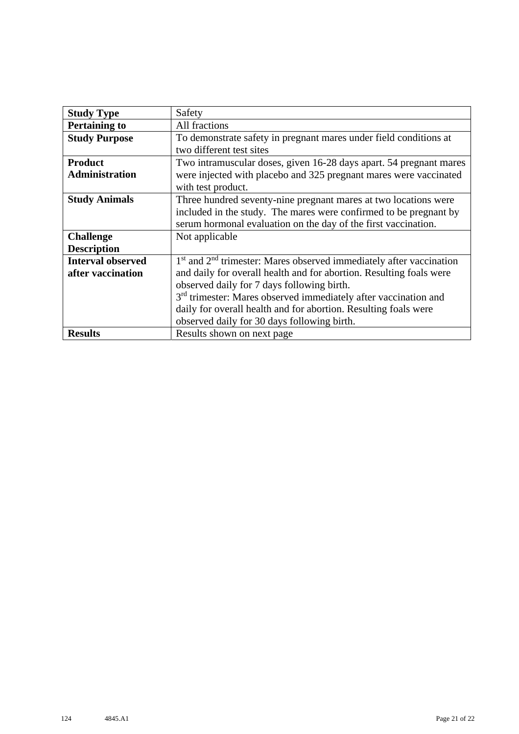| <b>Study Type</b>        | Safety                                                                      |
|--------------------------|-----------------------------------------------------------------------------|
| <b>Pertaining to</b>     | All fractions                                                               |
| <b>Study Purpose</b>     | To demonstrate safety in pregnant mares under field conditions at           |
|                          | two different test sites                                                    |
| <b>Product</b>           | Two intramuscular doses, given 16-28 days apart. 54 pregnant mares          |
| <b>Administration</b>    | were injected with placebo and 325 pregnant mares were vaccinated           |
|                          | with test product.                                                          |
| <b>Study Animals</b>     | Three hundred seventy-nine pregnant mares at two locations were             |
|                          | included in the study. The mares were confirmed to be pregnant by           |
|                          | serum hormonal evaluation on the day of the first vaccination.              |
| <b>Challenge</b>         | Not applicable                                                              |
| <b>Description</b>       |                                                                             |
| <b>Interval observed</b> | $1st$ and $2nd$ trimester: Mares observed immediately after vaccination     |
| after vaccination        | and daily for overall health and for abortion. Resulting foals were         |
|                          | observed daily for 7 days following birth.                                  |
|                          | 3 <sup>rd</sup> trimester: Mares observed immediately after vaccination and |
|                          | daily for overall health and for abortion. Resulting foals were             |
|                          | observed daily for 30 days following birth.                                 |
| <b>Results</b>           | Results shown on next page                                                  |